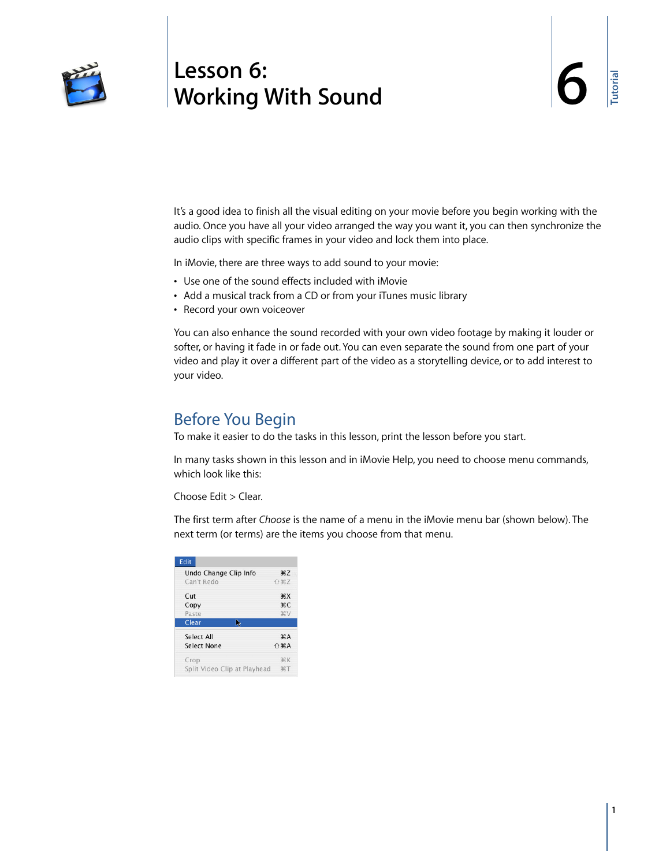

# **<sup>6</sup> Lesson 6: Working With Sound**

It's a good idea to finish all the visual editing on your movie before you begin working with the audio. Once you have all your video arranged the way you want it, you can then synchronize the audio clips with specific frames in your video and lock them into place.

In iMovie, there are three ways to add sound to your movie:

- **•** Use one of the sound effects included with iMovie
- **•** Add a musical track from a CD or from your iTunes music library
- **•** Record your own voiceover

You can also enhance the sound recorded with your own video footage by making it louder or softer, or having it fade in or fade out. You can even separate the sound from one part of your video and play it over a different part of the video as a storytelling device, or to add interest to your video.

### Before You Begin

To make it easier to do the tasks in this lesson, print the lesson before you start.

In many tasks shown in this lesson and in iMovie Help, you need to choose menu commands, which look like this:

Choose Edit > Clear.

The first term after *Choose* is the name of a menu in the iMovie menu bar (shown below). The next term (or terms) are the items you choose from that menu.

| Undo Change Clip Info        | #7                              |
|------------------------------|---------------------------------|
| Can't Redo                   | <b>介出乙</b>                      |
| Cut                          | $*X$                            |
| Copy                         | жC                              |
| Paste                        | <b>XXX</b>                      |
| Clear<br>▷                   |                                 |
| Select All                   | $\mathcal{A}$                   |
| Select None                  | $\n  1$ $\n  1$ $\n  1$ $\n  1$ |
| Crop                         | <b>HK</b>                       |
| Split Video Clip at Playhead | $R$ T                           |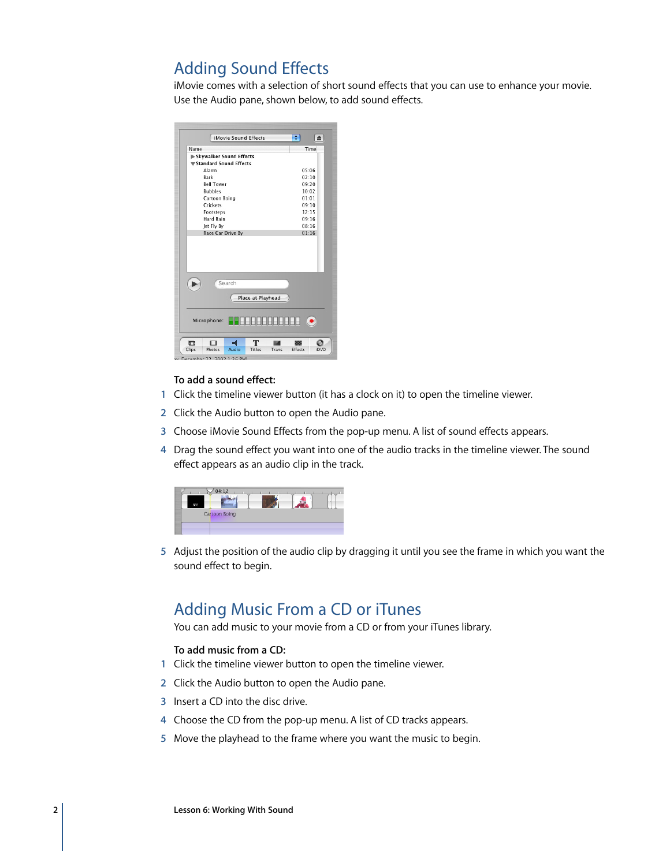# Adding Sound Effects

iMovie comes with a selection of short sound effects that you can use to enhance your movie. Use the Audio pane, shown below, to add sound effects.

| iMovie Sound Effects            | ÷<br>$\triangleq$             |
|---------------------------------|-------------------------------|
| Name                            | Time                          |
| Skywalker Sound Effects         |                               |
| <b>▼ Standard Sound Effects</b> |                               |
| Alarm                           | 05:06                         |
| Bark                            | 02:10                         |
| <b>Rell Tower</b>               | 09:20                         |
| <b>Bubbles</b>                  | 10:02                         |
| Cartoon Boing                   | 01:01                         |
| Crickets                        | 09:10                         |
| Footsteps                       | 12:15                         |
| Hard Rain                       | 09:16                         |
| Jet Fly By                      | 08:16                         |
| Race Car Drive By               | 01:16                         |
|                                 |                               |
| Search<br>Place at Playhead     |                               |
| Microphone:                     | .<br>$\left( \bullet \right)$ |
| т<br>n<br>⊓                     |                               |

### **To add a sound effect:**

- **1** Click the timeline viewer button (it has a clock on it) to open the timeline viewer.
- **2** Click the Audio button to open the Audio pane.
- **3** Choose iMovie Sound Effects from the pop-up menu. A list of sound effects appears.
- **4** Drag the sound effect you want into one of the audio tracks in the timeline viewer. The sound effect appears as an audio clip in the track.



**5** Adjust the position of the audio clip by dragging it until you see the frame in which you want the sound effect to begin.

# Adding Music From a CD or iTunes

You can add music to your movie from a CD or from your iTunes library.

### **To add music from a CD:**

- **1** Click the timeline viewer button to open the timeline viewer.
- **2** Click the Audio button to open the Audio pane.
- **3** Insert a CD into the disc drive.
- **4** Choose the CD from the pop-up menu. A list of CD tracks appears.
- **5** Move the playhead to the frame where you want the music to begin.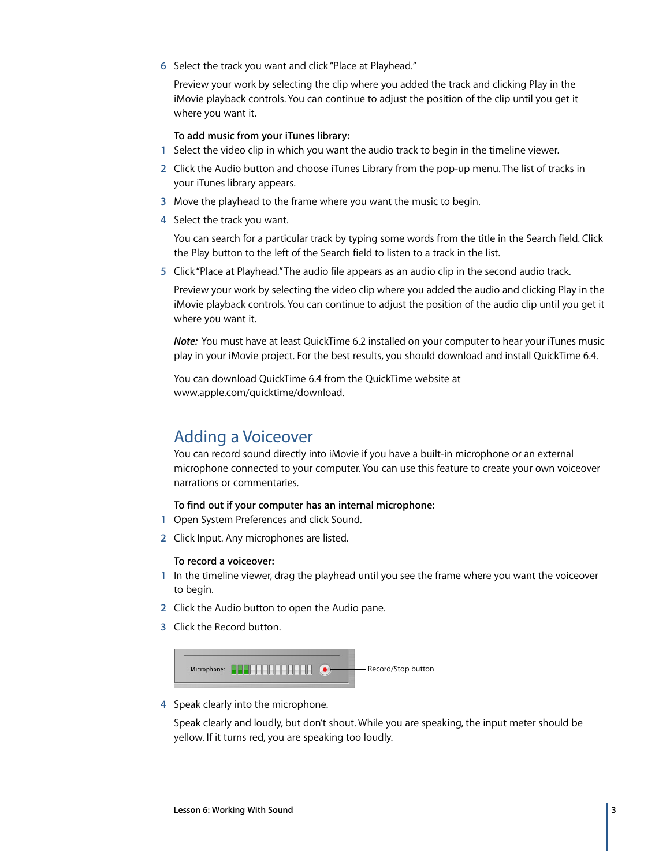**6** Select the track you want and click "Place at Playhead."

Preview your work by selecting the clip where you added the track and clicking Play in the iMovie playback controls. You can continue to adjust the position of the clip until you get it where you want it.

#### **To add music from your iTunes library:**

- **1** Select the video clip in which you want the audio track to begin in the timeline viewer.
- **2** Click the Audio button and choose iTunes Library from the pop-up menu. The list of tracks in your iTunes library appears.
- **3** Move the playhead to the frame where you want the music to begin.
- **4** Select the track you want.

You can search for a particular track by typing some words from the title in the Search field. Click the Play button to the left of the Search field to listen to a track in the list.

**5** Click "Place at Playhead." The audio file appears as an audio clip in the second audio track.

Preview your work by selecting the video clip where you added the audio and clicking Play in the iMovie playback controls. You can continue to adjust the position of the audio clip until you get it where you want it.

*Note:* You must have at least QuickTime 6.2 installed on your computer to hear your iTunes music play in your iMovie project. For the best results, you should download and install QuickTime 6.4.

You can download QuickTime 6.4 from the QuickTime website at www.apple.com/quicktime/download.

### Adding a Voiceover

You can record sound directly into iMovie if you have a built-in microphone or an external microphone connected to your computer. You can use this feature to create your own voiceover narrations or commentaries.

### **To find out if your computer has an internal microphone:**

- **1** Open System Preferences and click Sound.
- **2** Click Input. Any microphones are listed.

### **To record a voiceover:**

- **1** In the timeline viewer, drag the playhead until you see the frame where you want the voiceover to begin.
- **2** Click the Audio button to open the Audio pane.
- **3** Click the Record button.



**4** Speak clearly into the microphone.

Speak clearly and loudly, but don't shout. While you are speaking, the input meter should be yellow. If it turns red, you are speaking too loudly.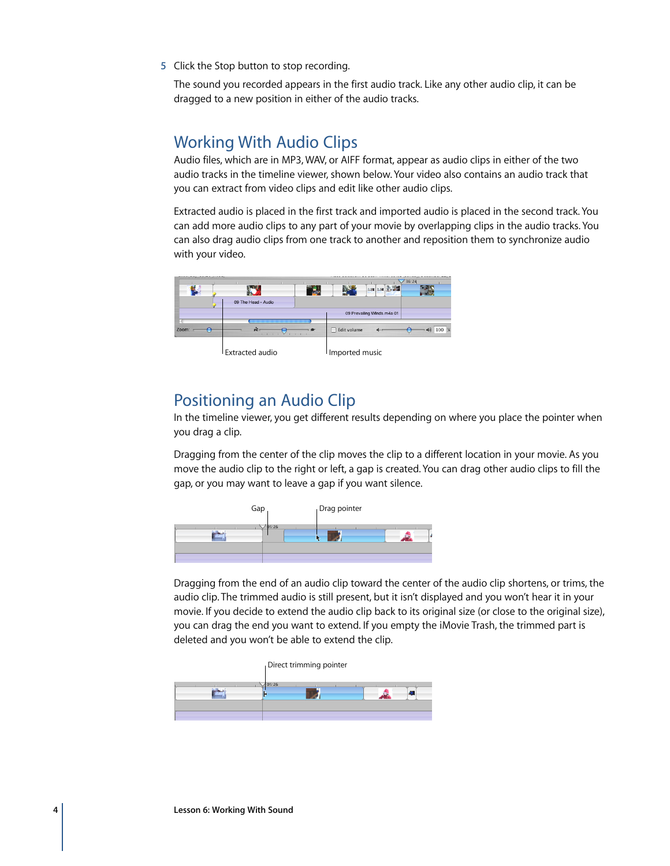**5** Click the Stop button to stop recording.

The sound you recorded appears in the first audio track. Like any other audio clip, it can be dragged to a new position in either of the audio tracks.

### Working With Audio Clips

Audio files, which are in MP3, WAV, or AIFF format, appear as audio clips in either of the two audio tracks in the timeline viewer, shown below. Your video also contains an audio track that you can extract from video clips and edit like other audio clips.

Extracted audio is placed in the first track and imported audio is placed in the second track. You can add more audio clips to any part of your movie by overlapping clips in the audio tracks. You can also drag audio clips from one track to another and reposition them to synchronize audio with your video.



### Positioning an Audio Clip

In the timeline viewer, you get different results depending on where you place the pointer when you drag a clip.

Dragging from the center of the clip moves the clip to a different location in your movie. As you move the audio clip to the right or left, a gap is created. You can drag other audio clips to fill the gap, or you may want to leave a gap if you want silence.



Dragging from the end of an audio clip toward the center of the audio clip shortens, or trims, the audio clip. The trimmed audio is still present, but it isn't displayed and you won't hear it in your movie. If you decide to extend the audio clip back to its original size (or close to the original size), you can drag the end you want to extend. If you empty the iMovie Trash, the trimmed part is deleted and you won't be able to extend the clip.

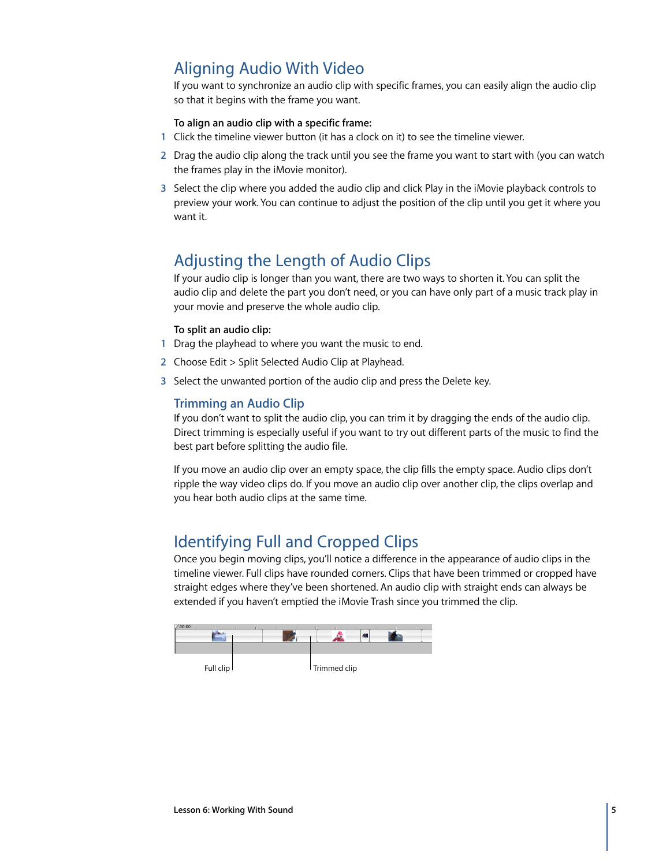# Aligning Audio With Video

If you want to synchronize an audio clip with specific frames, you can easily align the audio clip so that it begins with the frame you want.

### **To align an audio clip with a specific frame:**

- **1** Click the timeline viewer button (it has a clock on it) to see the timeline viewer.
- **2** Drag the audio clip along the track until you see the frame you want to start with (you can watch the frames play in the iMovie monitor).
- **3** Select the clip where you added the audio clip and click Play in the iMovie playback controls to preview your work. You can continue to adjust the position of the clip until you get it where you want it.

# Adjusting the Length of Audio Clips

If your audio clip is longer than you want, there are two ways to shorten it. You can split the audio clip and delete the part you don't need, or you can have only part of a music track play in your movie and preserve the whole audio clip.

### **To split an audio clip:**

- **1** Drag the playhead to where you want the music to end.
- **2** Choose Edit > Split Selected Audio Clip at Playhead.
- **3** Select the unwanted portion of the audio clip and press the Delete key.

### **Trimming an Audio Clip**

If you don't want to split the audio clip, you can trim it by dragging the ends of the audio clip. Direct trimming is especially useful if you want to try out different parts of the music to find the best part before splitting the audio file.

If you move an audio clip over an empty space, the clip fills the empty space. Audio clips don't ripple the way video clips do. If you move an audio clip over another clip, the clips overlap and you hear both audio clips at the same time.

# Identifying Full and Cropped Clips

Once you begin moving clips, you'll notice a difference in the appearance of audio clips in the timeline viewer. Full clips have rounded corners. Clips that have been trimmed or cropped have straight edges where they've been shortened. An audio clip with straight ends can always be extended if you haven't emptied the iMovie Trash since you trimmed the clip.

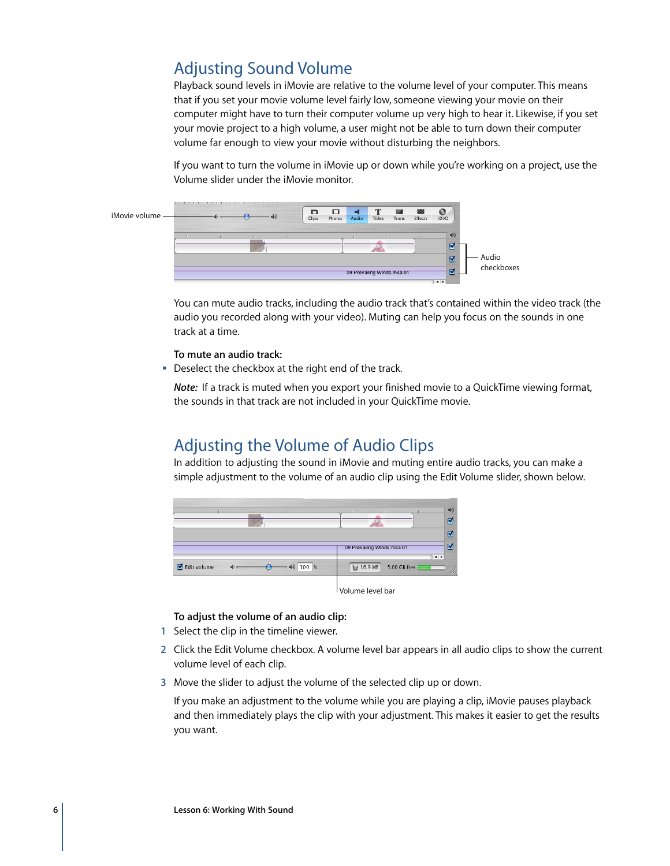# Adjusting Sound Volume

Playback sound levels in iMovie are relative to the volume level of your computer. This means that if you set your movie volume level fairly low, someone viewing your movie on their computer might have to turn their computer volume up very high to hear it. Likewise, if you set your movie project to a high volume, a user might not be able to turn down their computer volume far enough to view your movie without disturbing the neighbors.

If you want to turn the volume in iMovie up or down while you're working on a project, use the Volume slider under the iMovie monitor.



You can mute audio tracks, including the audio track that's contained within the video track (the audio you recorded along with your video). Muting can help you focus on the sounds in one track at a time.

### **To mute an audio track:**

Deselect the checkbox at the right end of the track.

*Note:* If a track is muted when you export your finished movie to a QuickTime viewing format, the sounds in that track are not included in your QuickTime movie.

### Adjusting the Volume of Audio Clips

In addition to adjusting the sound in iMovie and muting entire audio tracks, you can make a simple adjustment to the volume of an audio clip using the Edit Volume slider, shown below.



#### **To adjust the volume of an audio clip:**

- **1** Select the clip in the timeline viewer.
- **2** Click the Edit Volume checkbox. A volume level bar appears in all audio clips to show the current volume level of each clip.
- **3** Move the slider to adjust the volume of the selected clip up or down.

If you make an adjustment to the volume while you are playing a clip, iMovie pauses playback and then immediately plays the clip with your adjustment. This makes it easier to get the results you want.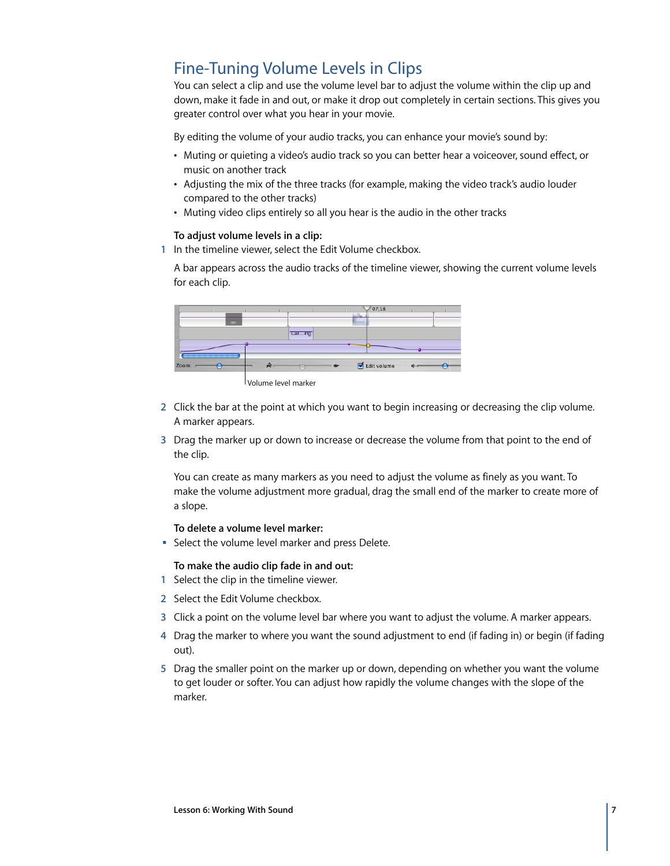# Fine-Tuning Volume Levels in Clips

You can select a clip and use the volume level bar to adjust the volume within the clip up and down, make it fade in and out, or make it drop out completely in certain sections. This gives you greater control over what you hear in your movie.

By editing the volume of your audio tracks, you can enhance your movie's sound by:

- **•** Muting or quieting a video's audio track so you can better hear a voiceover, sound effect, or music on another track
- **•** Adjusting the mix of the three tracks (for example, making the video track's audio louder compared to the other tracks)
- **•** Muting video clips entirely so all you hear is the audio in the other tracks

### **To adjust volume levels in a clip:**

**1** In the timeline viewer, select the Edit Volume checkbox.

A bar appears across the audio tracks of the timeline viewer, showing the current volume levels for each clip.



Volume level marker

- **2** Click the bar at the point at which you want to begin increasing or decreasing the clip volume. A marker appears.
- **3** Drag the marker up or down to increase or decrease the volume from that point to the end of the clip.

You can create as many markers as you need to adjust the volume as finely as you want. To make the volume adjustment more gradual, drag the small end of the marker to create more of a slope.

### **To delete a volume level marker:**

**F** Select the volume level marker and press Delete.

**To make the audio clip fade in and out:**

- **1** Select the clip in the timeline viewer.
- **2** Select the Edit Volume checkbox.
- **3** Click a point on the volume level bar where you want to adjust the volume. A marker appears.
- **4** Drag the marker to where you want the sound adjustment to end (if fading in) or begin (if fading out).
- **5** Drag the smaller point on the marker up or down, depending on whether you want the volume to get louder or softer. You can adjust how rapidly the volume changes with the slope of the marker.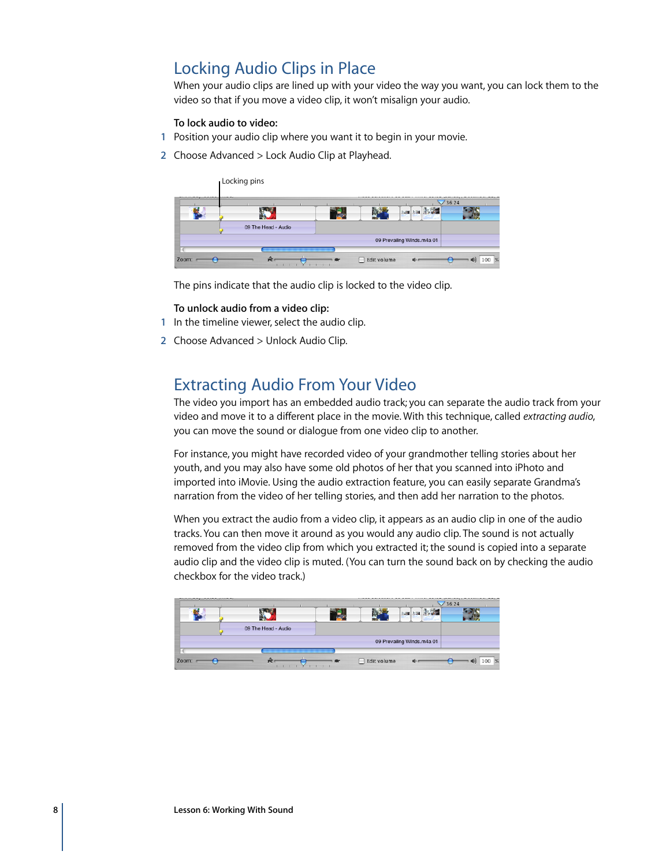# Locking Audio Clips in Place

When your audio clips are lined up with your video the way you want, you can lock them to the video so that if you move a video clip, it won't misalign your audio.

#### **To lock audio to video:**

- **1** Position your audio clip where you want it to begin in your movie.
- **2** Choose Advanced > Lock Audio Clip at Playhead.

|                     |  |                            | 36:24 |
|---------------------|--|----------------------------|-------|
|                     |  | 活躍<br>志識                   |       |
|                     |  |                            |       |
| 09 The Head - Audio |  |                            |       |
|                     |  | 09 Prevailing WInds.m4a 01 |       |

The pins indicate that the audio clip is locked to the video clip.

#### **To unlock audio from a video clip:**

- **1** In the timeline viewer, select the audio clip.
- **2** Choose Advanced > Unlock Audio Clip.

### Extracting Audio From Your Video

The video you import has an embedded audio track; you can separate the audio track from your video and move it to a different place in the movie. With this technique, called *extracting audio*, you can move the sound or dialogue from one video clip to another.

For instance, you might have recorded video of your grandmother telling stories about her youth, and you may also have some old photos of her that you scanned into iPhoto and imported into iMovie. Using the audio extraction feature, you can easily separate Grandma's narration from the video of her telling stories, and then add her narration to the photos.

When you extract the audio from a video clip, it appears as an audio clip in one of the audio tracks. You can then move it around as you would any audio clip. The sound is not actually removed from the video clip from which you extracted it; the sound is copied into a separate audio clip and the video clip is muted. (You can turn the sound back on by checking the audio checkbox for the video track.)

|       |                     |  |             |                            | 36:24 |       |
|-------|---------------------|--|-------------|----------------------------|-------|-------|
|       |                     |  |             | 活动                         |       |       |
|       |                     |  |             |                            |       |       |
|       | 09 The Head - Audio |  |             |                            |       |       |
|       |                     |  |             | 09 Prevailing WInds.m4a 01 |       |       |
|       |                     |  |             |                            |       |       |
| Zoom: | œ                   |  | Edit volume |                            | 씨앗    | 100 % |